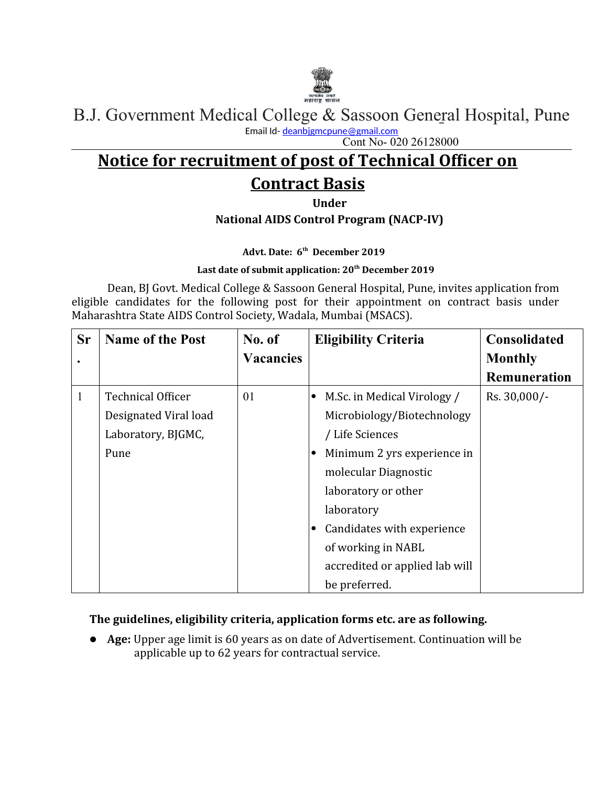

B.J. Government Medical College & Sassoon General Hospital, Pune Email Id- [deanbjgmcpune@gmail.com](mailto:deanbjgmcpune@gmail.com)

Cont No- 020 26128000

# **Notice for recruitment of post of Technical Officer on Contract Basis**

**Under**

**National AIDS Control Program (NACP-IV)**

**Advt. Date: 6th December 2019**

#### **Last date of submit application: 20th December 2019**

Dean, BJ Govt. Medical College & Sassoon General Hospital, Pune, invites application from eligible candidates for the following post for their appointment on contract basis under Maharashtra State AIDS Control Society, Wadala, Mumbai (MSACS).

| <b>Sr</b>    | <b>Name of the Post</b>  | No. of           |           | <b>Eligibility Criteria</b>    | Consolidated        |
|--------------|--------------------------|------------------|-----------|--------------------------------|---------------------|
|              |                          | <b>Vacancies</b> |           |                                | <b>Monthly</b>      |
|              |                          |                  |           |                                | <b>Remuneration</b> |
| $\mathbf{1}$ | <b>Technical Officer</b> | 01               | $\bullet$ | M.Sc. in Medical Virology /    | Rs. 30,000/-        |
|              | Designated Viral load    |                  |           | Microbiology/Biotechnology     |                     |
|              | Laboratory, BJGMC,       |                  |           | / Life Sciences                |                     |
|              | Pune                     |                  | $\bullet$ | Minimum 2 yrs experience in    |                     |
|              |                          |                  |           | molecular Diagnostic           |                     |
|              |                          |                  |           | laboratory or other            |                     |
|              |                          |                  |           | laboratory                     |                     |
|              |                          |                  | $\bullet$ | Candidates with experience     |                     |
|              |                          |                  |           | of working in NABL             |                     |
|              |                          |                  |           | accredited or applied lab will |                     |
|              |                          |                  |           | be preferred.                  |                     |

#### **The guidelines, eligibility criteria, application forms etc. are as following.**

**Age:** Upper age limit is 60 years as on date of Advertisement. Continuation will be applicable up to 62 years for contractual service.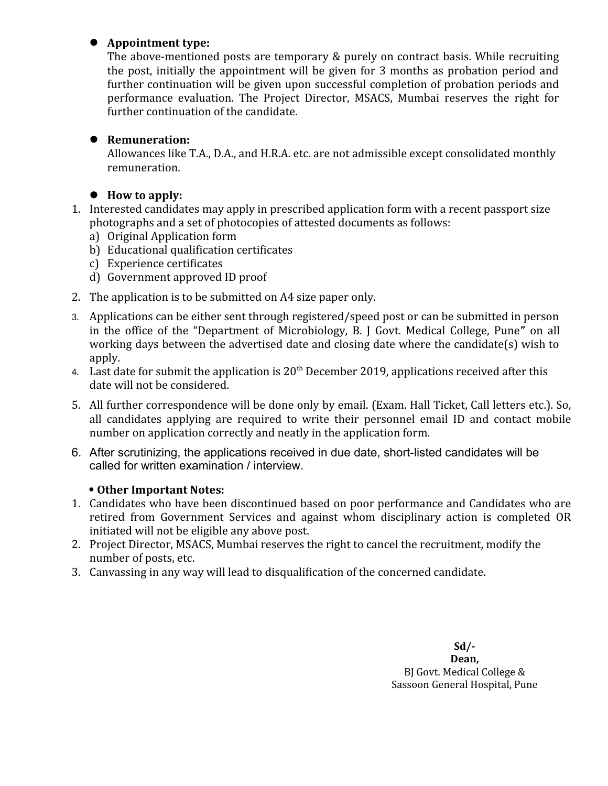#### l **Appointment type:**

The above-mentioned posts are temporary & purely on contract basis. While recruiting the post, initially the appointment will be given for 3 months as probation period and further continuation will be given upon successful completion of probation periods and performance evaluation. The Project Director, MSACS, Mumbai reserves the right for further continuation of the candidate.

## $\bullet$  Remuneration:

Allowances like T.A., D.A., and H.R.A. etc. are not admissible except consolidated monthly remuneration.

## ● How to apply:

- 1. Interested candidates may apply in prescribed application form with a recent passport size photographs and a set of photocopies of attested documents as follows:
	- a) Original Application form
	- b) Educational qualification certificates
	- c) Experience certificates
	- d) Government approved ID proof
- 2. The application is to be submitted on A4 size paper only.
- 3. Applications can be either sent through registered/speed post or can be submitted in person in the office of the "Department of Microbiology, B. J Govt. Medical College, Pune**"** on all working days between the advertised date and closing date where the candidate(s) wish to apply.
- 4. Last date for submit the application is  $20<sup>th</sup>$  December 2019, applications received after this date will not be considered.
- 5. All further correspondence will be done only by email. (Exam. Hall Ticket, Call letters etc.). So, all candidates applying are required to write their personnel email ID and contact mobile number on application correctly and neatly in the application form.
- 6. After scrutinizing, the applications received in due date, short-listed candidates will be called for written examination / interview.

### **Other Important Notes:**

- 1. Candidates who have been discontinued based on poor performance and Candidates who are retired from Government Services and against whom disciplinary action is completed OR initiated will not be eligible any above post.
- 2. Project Director, MSACS, Mumbai reserves the right to cancel the recruitment, modify the number of posts, etc.
- 3. Canvassing in any way will lead to disqualification of the concerned candidate.

**Sd/- Dean,** BJ Govt. Medical College & Sassoon General Hospital, Pune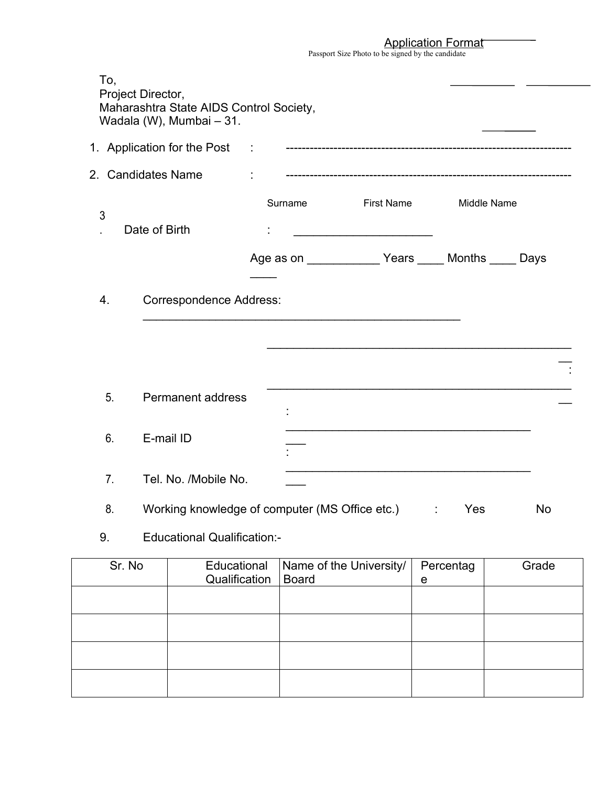Application Format

| $\overline{I}$                                    |  |
|---------------------------------------------------|--|
| Passport Size Photo to be signed by the candidate |  |
|                                                   |  |
|                                                   |  |

| To,<br>Project Director, | Maharashtra State AIDS Control Society,<br>Wadala (W), Mumbai - 31. |               |              |                         |                                                            |             |
|--------------------------|---------------------------------------------------------------------|---------------|--------------|-------------------------|------------------------------------------------------------|-------------|
|                          |                                                                     |               |              |                         |                                                            |             |
|                          | 2. Candidates Name                                                  | ÷             |              |                         |                                                            |             |
| 3                        | Date of Birth                                                       |               | Surname      | First Name              |                                                            | Middle Name |
|                          |                                                                     |               |              |                         | Age as on _________________Years ______ Months ______ Days |             |
| 4.                       | <b>Correspondence Address:</b>                                      |               |              |                         |                                                            |             |
| 5.                       | <b>Permanent address</b>                                            |               |              |                         |                                                            |             |
|                          |                                                                     |               |              |                         |                                                            |             |
| 6.                       | E-mail ID                                                           |               |              |                         |                                                            |             |
| 7.                       | Tel. No. /Mobile No.                                                |               |              |                         |                                                            |             |
| 8.                       | Working knowledge of computer (MS Office etc.) : :<br>No<br>Yes     |               |              |                         |                                                            |             |
| 9.                       | <b>Educational Qualification:-</b>                                  |               |              |                         |                                                            |             |
| Sr. No                   | Educational                                                         | Qualification | <b>Board</b> | Name of the University/ | Percentag<br>e                                             | Grade       |
|                          |                                                                     |               |              |                         |                                                            |             |
|                          |                                                                     |               |              |                         |                                                            |             |
|                          |                                                                     |               |              |                         |                                                            |             |